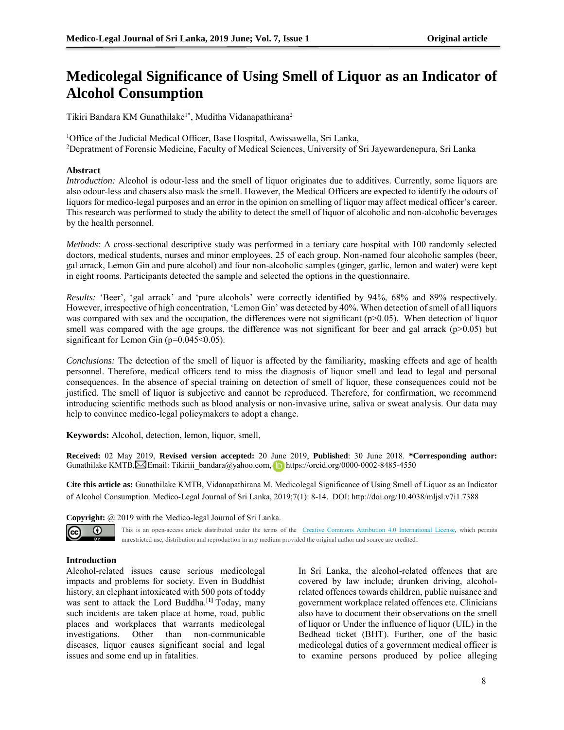# **Medicolegal Significance of Using Smell of Liquor as an Indicator of Alcohol Consumption**

Tikiri Bandara KM Gunathilake<sup>1\*</sup>, Muditha Vidanapathirana<sup>2</sup>

<sup>1</sup>Office of the Judicial Medical Officer, Base Hospital, Awissawella, Sri Lanka, <sup>2</sup>Depratment of Forensic Medicine, Faculty of Medical Sciences, University of Sri Jayewardenepura, Sri Lanka

## **Abstract**

*Introduction:* Alcohol is odour-less and the smell of liquor originates due to additives. Currently, some liquors are also odour-less and chasers also mask the smell. However, the Medical Officers are expected to identify the odours of liquors for medico-legal purposes and an error in the opinion on smelling of liquor may affect medical officer's career. This research was performed to study the ability to detect the smell of liquor of alcoholic and non-alcoholic beverages by the health personnel.

*Methods:* A cross-sectional descriptive study was performed in a tertiary care hospital with 100 randomly selected doctors, medical students, nurses and minor employees, 25 of each group. Non-named four alcoholic samples (beer, gal arrack, Lemon Gin and pure alcohol) and four non-alcoholic samples (ginger, garlic, lemon and water) were kept in eight rooms. Participants detected the sample and selected the options in the questionnaire.

*Results:* 'Beer', 'gal arrack' and 'pure alcohols' were correctly identified by 94%, 68% and 89% respectively. However, irrespective of high concentration, 'Lemon Gin' was detected by 40%. When detection of smell of all liquors was compared with sex and the occupation, the differences were not significant ( $p>0.05$ ). When detection of liquor smell was compared with the age groups, the difference was not significant for beer and gal arrack (p>0.05) but significant for Lemon Gin ( $p=0.045<0.05$ ).

*Conclusions:* The detection of the smell of liquor is affected by the familiarity, masking effects and age of health personnel. Therefore, medical officers tend to miss the diagnosis of liquor smell and lead to legal and personal consequences. In the absence of special training on detection of smell of liquor, these consequences could not be justified. The smell of liquor is subjective and cannot be reproduced. Therefore, for confirmation, we recommend introducing scientific methods such as blood analysis or non-invasive urine, saliva or sweat analysis. Our data may help to convince medico-legal policymakers to adopt a change.

**Keywords:** Alcohol, detection, lemon, liquor, smell,

**Received:** 02 May 2019, **Revised version accepted:** 20 June 2019, **Published**: 30 June 2018. **\*Corresponding author:** GunathilakeKMTB, Semail: Tikiriii bandara@yahoo.com, https://orcid.org/0000-0002-8485-4550

**Cite this article as:** Gunathilake KMTB, Vidanapathirana M. Medicolegal Significance of Using Smell of Liquor as an Indicator of Alcohol Consumption. Medico-Legal Journal of Sri Lanka, 2019;7(1): 8-14. DOI: http://doi.org/10.4038/mljsl.v7i1.7388

**Copyright:** @ 2019 with the Medico-legal Journal of Sri Lanka.





This is an open-access article distributed under the terms of the [Creative Commons Attribution 4.0 International License,](http://creativecommons.org/licenses/by/4.0/) which permits

unrestricted use, distribution and reproduction in any medium provided the original author and source are credited.

# **Introduction**

Alcohol-related issues cause serious medicolegal impacts and problems for society. Even in Buddhist history, an elephant intoxicated with 500 pots of toddy was sent to attack the Lord Buddha.[**1]** Today, many such incidents are taken place at home, road, public places and workplaces that warrants medicolegal investigations. Other than non-communicable diseases, liquor causes significant social and legal issues and some end up in fatalities.

In Sri Lanka, the alcohol-related offences that are covered by law include; drunken driving, alcoholrelated offences towards children, public nuisance and government workplace related offences etc. Clinicians also have to document their observations on the smell of liquor or Under the influence of liquor (UIL) in the Bedhead ticket (BHT). Further, one of the basic medicolegal duties of a government medical officer is to examine persons produced by police alleging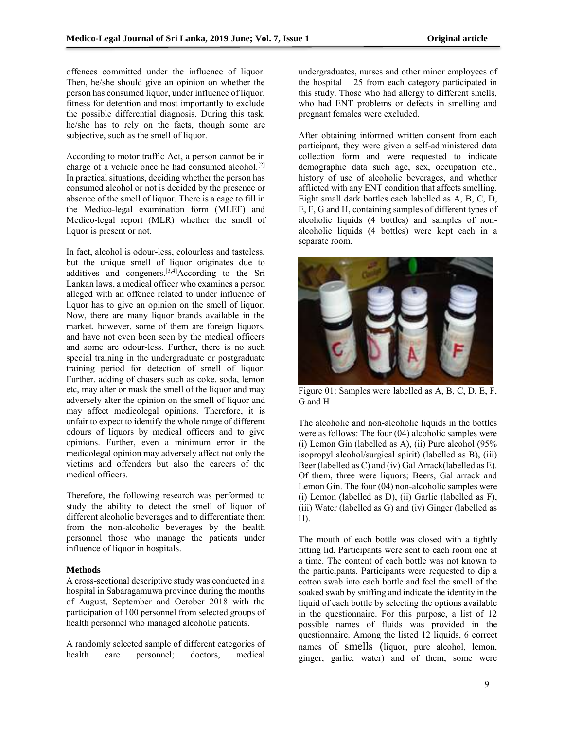offences committed under the influence of liquor. Then, he/she should give an opinion on whether the person has consumed liquor, under influence of liquor, fitness for detention and most importantly to exclude the possible differential diagnosis. During this task, he/she has to rely on the facts, though some are subjective, such as the smell of liquor.

According to motor traffic Act, a person cannot be in charge of a vehicle once he had consumed alcohol.<sup>[2]</sup> In practical situations, deciding whether the person has consumed alcohol or not is decided by the presence or absence of the smell of liquor. There is a cage to fill in the Medico-legal examination form (MLEF) and Medico-legal report (MLR) whether the smell of liquor is present or not.

In fact, alcohol is odour-less, colourless and tasteless, but the unique smell of liquor originates due to additives and congeners.[3,4]According to the Sri Lankan laws, a medical officer who examines a person alleged with an offence related to under influence of liquor has to give an opinion on the smell of liquor. Now, there are many liquor brands available in the market, however, some of them are foreign liquors, and have not even been seen by the medical officers and some are odour-less. Further, there is no such special training in the undergraduate or postgraduate training period for detection of smell of liquor. Further, adding of chasers such as coke, soda, lemon etc, may alter or mask the smell of the liquor and may adversely alter the opinion on the smell of liquor and may affect medicolegal opinions. Therefore, it is unfair to expect to identify the whole range of different odours of liquors by medical officers and to give opinions. Further, even a minimum error in the medicolegal opinion may adversely affect not only the victims and offenders but also the careers of the medical officers.

Therefore, the following research was performed to study the ability to detect the smell of liquor of different alcoholic beverages and to differentiate them from the non-alcoholic beverages by the health personnel those who manage the patients under influence of liquor in hospitals.

### **Methods**

A cross-sectional descriptive study was conducted in a hospital in Sabaragamuwa province during the months of August, September and October 2018 with the participation of 100 personnel from selected groups of health personnel who managed alcoholic patients.

A randomly selected sample of different categories of health care personnel; doctors, medical

undergraduates, nurses and other minor employees of the hospital – 25 from each category participated in this study. Those who had allergy to different smells, who had ENT problems or defects in smelling and pregnant females were excluded.

After obtaining informed written consent from each participant, they were given a self-administered data collection form and were requested to indicate demographic data such age, sex, occupation etc., history of use of alcoholic beverages, and whether afflicted with any ENT condition that affects smelling. Eight small dark bottles each labelled as A, B, C, D, E, F, G and H, containing samples of different types of alcoholic liquids (4 bottles) and samples of nonalcoholic liquids (4 bottles) were kept each in a separate room.



Figure 01: Samples were labelled as A, B, C, D, E, F, G and H

The alcoholic and non-alcoholic liquids in the bottles were as follows: The four (04) alcoholic samples were (i) Lemon Gin (labelled as A), (ii) Pure alcohol  $(95\%$ isopropyl alcohol/surgical spirit) (labelled as B), (iii) Beer (labelled as C) and (iv) Gal Arrack(labelled as E). Of them, three were liquors; Beers, Gal arrack and Lemon Gin. The four (04) non-alcoholic samples were (i) Lemon (labelled as D), (ii) Garlic (labelled as F), (iii) Water (labelled as G) and (iv) Ginger (labelled as H).

The mouth of each bottle was closed with a tightly fitting lid. Participants were sent to each room one at a time. The content of each bottle was not known to the participants. Participants were requested to dip a cotton swab into each bottle and feel the smell of the soaked swab by sniffing and indicate the identity in the liquid of each bottle by selecting the options available in the questionnaire. For this purpose, a list of 12 possible names of fluids was provided in the questionnaire. Among the listed 12 liquids, 6 correct names of smells (liquor, pure alcohol, lemon, ginger, garlic, water) and of them, some were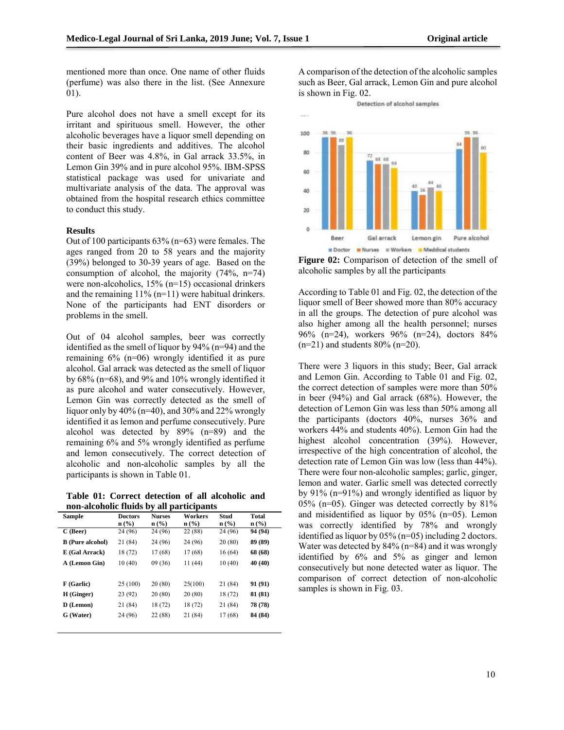mentioned more than once. One name of other fluids (perfume) was also there in the list. (See Annexure 01).

Pure alcohol does not have a smell except for its irritant and spirituous smell. However, the other alcoholic beverages have a liquor smell depending on their basic ingredients and additives. The alcohol content of Beer was 4.8%, in Gal arrack 33.5%, in Lemon Gin 39% and in pure alcohol 95%. IBM-SPSS statistical package was used for univariate and multivariate analysis of the data. The approval was obtained from the hospital research ethics committee to conduct this study.

### **Results**

Out of 100 participants 63% (n=63) were females. The ages ranged from 20 to 58 years and the majority (39%) belonged to 30-39 years of age. Based on the consumption of alcohol, the majority (74%, n=74) were non-alcoholics, 15% (n=15) occasional drinkers and the remaining  $11\%$  (n=11) were habitual drinkers. None of the participants had ENT disorders or problems in the smell.

Out of 04 alcohol samples, beer was correctly identified as the smell of liquor by 94% (n=94) and the remaining 6% (n=06) wrongly identified it as pure alcohol. Gal arrack was detected as the smell of liquor by 68% (n=68), and 9% and 10% wrongly identified it as pure alcohol and water consecutively. However, Lemon Gin was correctly detected as the smell of liquor only by  $40\%$  (n=40), and  $30\%$  and  $22\%$  wrongly identified it as lemon and perfume consecutively. Pure alcohol was detected by 89% (n=89) and the remaining 6% and 5% wrongly identified as perfume and lemon consecutively. The correct detection of alcoholic and non-alcoholic samples by all the participants is shown in Table 01.

**Table 01: Correct detection of all alcoholic and non-alcoholic fluids by all participants** 

| <b>Sample</b>           | <b>Doctors</b><br>$n\left(\frac{0}{0}\right)$ | <b>Nurses</b><br>$n\left(\frac{0}{0}\right)$ | Workers<br>$\mathbf{n}(\%)$ | Stud<br>$n\left(\frac{9}{6}\right)$ | Total<br>$n\left(\frac{0}{0}\right)$ |
|-------------------------|-----------------------------------------------|----------------------------------------------|-----------------------------|-------------------------------------|--------------------------------------|
| $C$ (Beer)              | 24 (96)                                       | 24 (96)                                      | 22 (88)                     | 24 (96)                             | 94 (94)                              |
| <b>B</b> (Pure alcohol) | 21 (84)                                       | 24 (96)                                      | 24 (96)                     | 20(80)                              | 89 (89)                              |
| E (Gal Arrack)          | 18 (72)                                       | 17 (68)                                      | 17 (68)                     | 16(64)                              | 68 (68)                              |
| A (Lemon Gin)           | 10(40)                                        | 09(36)                                       | 11 (44)                     | 10(40)                              | 40 (40)                              |
|                         |                                               |                                              |                             |                                     |                                      |
| F (Garlic)              | 25 (100)                                      | 20(80)                                       | 25(100)                     | 21 (84)                             | 91 (91)                              |
| H (Ginger)              | 23(92)                                        | 20(80)                                       | 20 (80)                     | 18 (72)                             | 81 (81)                              |
| D (Lemon)               | 21 (84)                                       | 18 (72)                                      | 18 (72)                     | 21 (84)                             | 78 (78)                              |
| G (Water)               | 24 (96)                                       | 22 (88)                                      | 21 (84)                     | 17 (68)                             | 84 (84)                              |
|                         |                                               |                                              |                             |                                     |                                      |

A comparison of the detection of the alcoholic samples such as Beer, Gal arrack, Lemon Gin and pure alcohol is shown in Fig. 02.

Detection of alcohol samples



**Figure 02:** Comparison of detection of the smell of alcoholic samples by all the participants

According to Table 01 and Fig. 02, the detection of the liquor smell of Beer showed more than 80% accuracy in all the groups. The detection of pure alcohol was also higher among all the health personnel; nurses 96% (n=24), workers 96% (n=24), doctors 84%  $(n=21)$  and students 80%  $(n=20)$ .

There were 3 liquors in this study; Beer, Gal arrack and Lemon Gin. According to Table 01 and Fig. 02, the correct detection of samples were more than 50% in beer (94%) and Gal arrack (68%). However, the detection of Lemon Gin was less than 50% among all the participants (doctors 40%, nurses 36% and workers 44% and students 40%). Lemon Gin had the highest alcohol concentration (39%). However, irrespective of the high concentration of alcohol, the detection rate of Lemon Gin was low (less than 44%). There were four non-alcoholic samples; garlic, ginger, lemon and water. Garlic smell was detected correctly by 91% (n=91%) and wrongly identified as liquor by 05% (n=05). Ginger was detected correctly by 81% and misidentified as liquor by 05% (n=05). Lemon was correctly identified by 78% and wrongly identified as liquor by 05% (n=05) including 2 doctors. Water was detected by 84% (n=84) and it was wrongly identified by 6% and 5% as ginger and lemon consecutively but none detected water as liquor. The comparison of correct detection of non-alcoholic samples is shown in Fig. 03.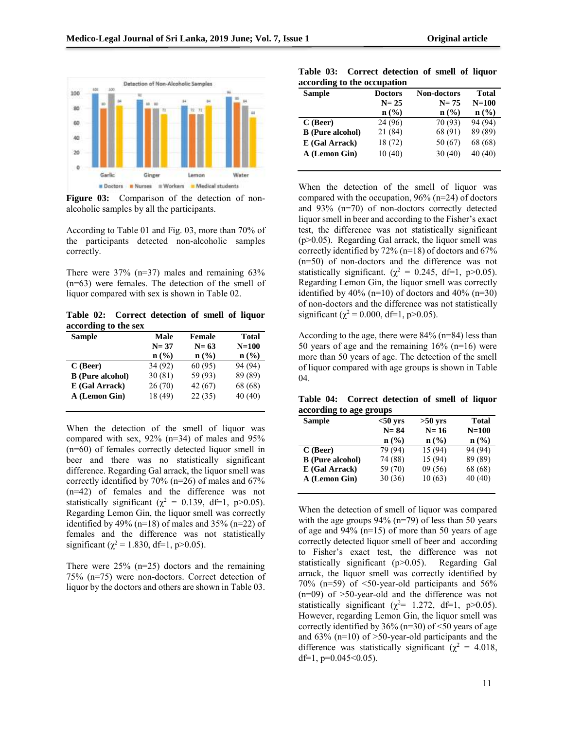

Figure 03: Comparison of the detection of nonalcoholic samples by all the participants.

According to Table 01 and Fig. 03, more than 70% of the participants detected non-alcoholic samples correctly.

There were  $37\%$  (n=37) males and remaining  $63\%$ (n=63) were females. The detection of the smell of liquor compared with sex is shown in Table 02.

**Table 02: Correct detection of smell of liquor according to the sex** 

| <b>Sample</b>           | Male<br><b>Female</b>       |         | Total   |
|-------------------------|-----------------------------|---------|---------|
|                         | $N = 37$                    | $N=63$  |         |
|                         | $n\left(\frac{0}{0}\right)$ | n (% )  | n (% )  |
| $C$ (Beer)              | 34 (92)                     | 60(95)  | 94 (94) |
| <b>B</b> (Pure alcohol) | 30(81)                      | 59 (93) | 89 (89) |
| E (Gal Arrack)          | 26(70)                      | 42(67)  | 68 (68) |
| A (Lemon Gin)           | 18 (49)                     | 22(35)  | 40 (40) |
|                         |                             |         |         |

When the detection of the smell of liquor was compared with sex, 92% (n=34) of males and 95% (n=60) of females correctly detected liquor smell in beer and there was no statistically significant difference. Regarding Gal arrack, the liquor smell was correctly identified by 70% (n=26) of males and 67% (n=42) of females and the difference was not statistically significant ( $\chi^2 = 0.139$ , df=1, p>0.05). Regarding Lemon Gin, the liquor smell was correctly identified by 49% (n=18) of males and  $35\%$  (n=22) of females and the difference was not statistically significant ( $\chi^2$  = 1.830, df=1, p>0.05).

There were 25% (n=25) doctors and the remaining 75% (n=75) were non-doctors. Correct detection of liquor by the doctors and others are shown in Table 03.

**Table 03: Correct detection of smell of liquor according to the occupation** 

| <b>Sample</b>           | <b>Doctors</b>              | <b>Non-doctors</b> | Total   |
|-------------------------|-----------------------------|--------------------|---------|
|                         | $N=25$                      | $N=75$             | $N=100$ |
|                         | $n\left(\frac{0}{0}\right)$ | n (% )             | n (% )  |
| $C$ (Beer)              | 24 (96)                     | 70 (93)            | 94 (94) |
| <b>B</b> (Pure alcohol) | 21 (84)                     | 68 (91)            | 89 (89) |
| E (Gal Arrack)          | 18(72)                      | 50 (67)            | 68 (68) |
| A (Lemon Gin)           | 10(40)                      | 30(40)             | 40(40)  |
|                         |                             |                    |         |

When the detection of the smell of liquor was compared with the occupation, 96% (n=24) of doctors and 93% (n=70) of non-doctors correctly detected liquor smell in beer and according to the Fisher's exact test, the difference was not statistically significant (p>0.05). Regarding Gal arrack, the liquor smell was correctly identified by 72% (n=18) of doctors and 67% (n=50) of non-doctors and the difference was not statistically significant. ( $\chi^2 = 0.245$ , df=1, p>0.05). Regarding Lemon Gin, the liquor smell was correctly identified by  $40\%$  (n=10) of doctors and  $40\%$  (n=30) of non-doctors and the difference was not statistically significant ( $\chi^2$  = 0.000, df=1, p>0.05).

According to the age, there were 84% (n=84) less than 50 years of age and the remaining  $16\%$  (n=16) were more than 50 years of age. The detection of the smell of liquor compared with age groups is shown in Table 04.

**Table 04: Correct detection of smell of liquor according to age groups** 

| <b>Sample</b>           | $50$ yrs | $>50$ yrs | Total   |
|-------------------------|----------|-----------|---------|
|                         | $N = 84$ | $N=16$    | $N=100$ |
|                         | n (% )   | n (% )    | n (% )  |
| $C$ (Beer)              | 79 (94)  | 15 (94)   | 94 (94) |
| <b>B</b> (Pure alcohol) | 74 (88)  | 15 (94)   | 89 (89) |
| E (Gal Arrack)          | 59 (70)  | 09(56)    | 68 (68) |
| A (Lemon Gin)           | 30(36)   | 10(63)    | 40 (40) |
|                         |          |           |         |

When the detection of smell of liquor was compared with the age groups 94% (n=79) of less than 50 years of age and  $94\%$  (n=15) of more than 50 years of age correctly detected liquor smell of beer and according to Fisher's exact test, the difference was not statistically significant (p>0.05). Regarding Gal arrack, the liquor smell was correctly identified by 70% (n=59) of  $\leq$ 50-year-old participants and 56%  $(n=09)$  of  $>50$ -year-old and the difference was not statistically significant ( $\chi^2$ = 1.272, df=1, p>0.05). However, regarding Lemon Gin, the liquor smell was correctly identified by  $36\%$  (n=30) of <50 years of age and  $63\%$  (n=10) of  $>50$ -year-old participants and the difference was statistically significant ( $\chi^2 = 4.018$ , df=1,  $p=0.045<0.05$ ).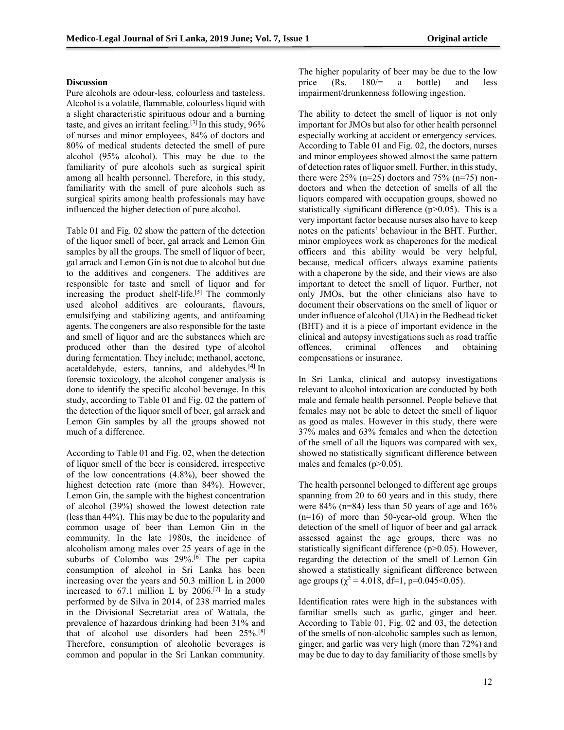# **Discussion**

Pure alcohols are odour-less, colourless and tasteless. Alcohol is a volatile[, flammable,](https://en.wikipedia.org/wiki/Flammability) colourless liquid with a slight characteristic spirituous odour and a burning taste, and gives an irritant feeling.<sup>[3]</sup> In this study,  $96\%$ of nurses and minor employees, 84% of doctors and 80% of medical students detected the smell of pure alcohol (95% alcohol). This may be due to the familiarity of pure alcohols such as surgical spirit among all health personnel. Therefore, in this study, familiarity with the smell of pure alcohols such as surgical spirits among health professionals may have influenced the higher detection of pure alcohol.

Table 01 and Fig. 02 show the pattern of the detection of the liquor smell of beer, gal arrack and Lemon Gin samples by all the groups. The smell of liquor of beer, gal arrack and Lemon Gin is not due to alcohol but due to the additives and congeners. The additives are responsible for taste and smell of liquor and for increasing the product shelf-life.[5] The commonly used alcohol additives are colourants, flavours, emulsifying and stabilizing agents, and antifoaming agents. The congeners are also responsible for the taste and smell of liquor and are the substances which are produced other than the desired type of [alcohol](https://en.wikipedia.org/wiki/Alcohol)  durin[g fermentation.](https://en.wikipedia.org/wiki/Ethanol_fermentation) They include; methanol, acetone, acetaldehyde, esters, tannins, and aldehydes.[**4]** In forensic toxicology, the [alcohol congener analysis](https://en.wikipedia.org/wiki/Alcohol_congener_analysis) is done to identify the specific alcohol beverage. In this study, according to Table 01 and Fig. 02 the pattern of the detection of the liquor smell of beer, gal arrack and Lemon Gin samples by all the groups showed not much of a difference.

According to Table 01 and Fig. 02, when the detection of liquor smell of the beer is considered, irrespective of the low concentrations (4.8%), beer showed the highest detection rate (more than 84%). However, Lemon Gin, the sample with the highest concentration of alcohol (39%) showed the lowest detection rate (less than 44%). This may be due to the popularity and common usage of beer than Lemon Gin in the community. In the late 1980s, the incidence of alcoholism among males over 25 years of age in the suburbs of Colombo was 29%.<sup>[6]</sup> The per capita consumption of alcohol in Sri Lanka has been increasing over the years and 50.3 million L in 2000 increased to 67.1 million L by 2006.<sup>[7]</sup> In a study performed by de Silva in 2014, of 238 married males in the Divisional Secretariat area of Wattala, the prevalence of hazardous drinking had been 31% and that of alcohol use disorders had been 25%.[8] Therefore, consumption of alcoholic beverages is common and popular in the Sri Lankan community. The higher popularity of beer may be due to the low<br>price  $(Rs. 180/= a)$  bottle) and less price  $(Rs. 180/= a \text{ bottle})$  and less impairment/drunkenness following ingestion.

The ability to detect the smell of liquor is not only important for JMOs but also for other health personnel especially working at accident or emergency services. According to Table 01 and Fig. 02, the doctors, nurses and minor employees showed almost the same pattern of detection rates of liquor smell. Further, in this study, there were  $25\%$  (n=25) doctors and  $75\%$  (n=75) nondoctors and when the detection of smells of all the liquors compared with occupation groups, showed no statistically significant difference (p>0.05). This is a very important factor because nurses also have to keep notes on the patients' behaviour in the BHT. Further, minor employees work as chaperones for the medical officers and this ability would be very helpful, because, medical officers always examine patients with a chaperone by the side, and their views are also important to detect the smell of liquor. Further, not only JMOs, but the other clinicians also have to document their observations on the smell of liquor or under influence of alcohol (UIA) in the Bedhead ticket (BHT) and it is a piece of important evidence in the clinical and autopsy investigations such as road traffic offences, criminal offences and obtaining compensations or insurance.

In Sri Lanka, clinical and autopsy investigations relevant to alcohol intoxication are conducted by both male and female health personnel. People believe that females may not be able to detect the smell of liquor as good as males. However in this study, there were 37% males and 63% females and when the detection of the smell of all the liquors was compared with sex, showed no statistically significant difference between males and females (p>0.05).

The health personnel belonged to different age groups spanning from 20 to 60 years and in this study, there were 84% (n=84) less than 50 years of age and 16% (n=16) of more than 50-year-old group. When the detection of the smell of liquor of beer and gal arrack assessed against the age groups, there was no statistically significant difference (p>0.05). However, regarding the detection of the smell of Lemon Gin showed a statistically significant difference between age groups ( $\chi^2$  = 4.018, df=1, p=0.045<0.05).

Identification rates were high in the substances with familiar smells such as garlic, ginger and beer. According to Table 01, Fig. 02 and 03, the detection of the smells of non-alcoholic samples such as lemon, ginger, and garlic was very high (more than 72%) and may be due to day to day familiarity of those smells by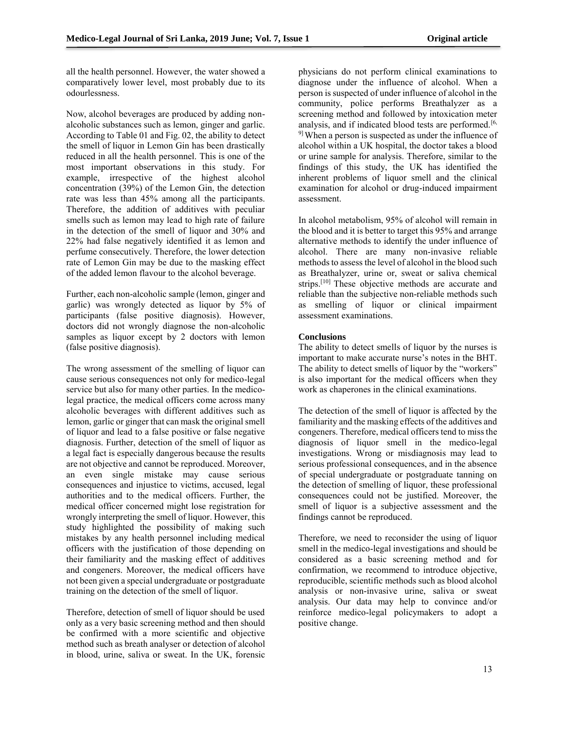all the health personnel. However, the water showed a comparatively lower level, most probably due to its odourlessness.

Now, alcohol beverages are produced by adding nonalcoholic substances such as lemon, ginger and garlic. According to Table 01 and Fig. 02, the ability to detect the smell of liquor in Lemon Gin has been drastically reduced in all the health personnel. This is one of the most important observations in this study. For example, irrespective of the highest alcohol concentration (39%) of the Lemon Gin, the detection rate was less than 45% among all the participants. Therefore, the addition of additives with peculiar smells such as lemon may lead to high rate of failure in the detection of the smell of liquor and 30% and 22% had false negatively identified it as lemon and perfume consecutively. Therefore, the lower detection rate of Lemon Gin may be due to the masking effect of the added lemon flavour to the alcohol beverage.

Further, each non-alcoholic sample (lemon, ginger and garlic) was wrongly detected as liquor by 5% of participants (false positive diagnosis). However, doctors did not wrongly diagnose the non-alcoholic samples as liquor except by 2 doctors with lemon (false positive diagnosis).

The wrong assessment of the smelling of liquor can cause serious consequences not only for medico-legal service but also for many other parties. In the medicolegal practice, the medical officers come across many alcoholic beverages with different additives such as lemon, garlic or ginger that can mask the original smell of liquor and lead to a false positive or false negative diagnosis. Further, detection of the smell of liquor as a legal fact is especially dangerous because the results are not objective and cannot be reproduced. Moreover, an even single mistake may cause serious consequences and injustice to victims, accused, legal authorities and to the medical officers. Further, the medical officer concerned might lose registration for wrongly interpreting the smell of liquor. However, this study highlighted the possibility of making such mistakes by any health personnel including medical officers with the justification of those depending on their familiarity and the masking effect of additives and congeners. Moreover, the medical officers have not been given a special undergraduate or postgraduate training on the detection of the smell of liquor.

Therefore, detection of smell of liquor should be used only as a very basic screening method and then should be confirmed with a more scientific and objective method such as breath analyser or detection of alcohol in blood, urine, saliva or sweat. In the UK, forensic physicians do not perform clinical examinations to diagnose under the influence of alcohol. When a person is suspected of under influence of alcohol in the community, police performs Breathalyzer as a screening method and followed by intoxication meter analysis, and if indicated blood tests are performed.<sup>[6,]</sup> 9] When a person is suspected as under the influence of alcohol within a UK hospital, the doctor takes a blood or urine sample for analysis. Therefore, similar to the findings of this study, the UK has identified the inherent problems of liquor smell and the clinical examination for alcohol or drug-induced impairment assessment.

In alcohol metabolism, 95% of alcohol will remain in the blood and it is better to target this 95% and arrange alternative methods to identify the under influence of alcohol. There are many non-invasive reliable methods to assess the level of alcohol in the blood such as Breathalyzer, urine or, sweat or saliva chemical strips.<sup>[10]</sup> These objective methods are accurate and reliable than the subjective non-reliable methods such as smelling of liquor or clinical impairment assessment examinations.

# **Conclusions**

The ability to detect smells of liquor by the nurses is important to make accurate nurse's notes in the BHT. The ability to detect smells of liquor by the "workers" is also important for the medical officers when they work as chaperones in the clinical examinations.

The detection of the smell of liquor is affected by the familiarity and the masking effects of the additives and congeners. Therefore, medical officers tend to miss the diagnosis of liquor smell in the medico-legal investigations. Wrong or misdiagnosis may lead to serious professional consequences, and in the absence of special undergraduate or postgraduate tanning on the detection of smelling of liquor, these professional consequences could not be justified. Moreover, the smell of liquor is a subjective assessment and the findings cannot be reproduced.

Therefore, we need to reconsider the using of liquor smell in the medico-legal investigations and should be considered as a basic screening method and for confirmation, we recommend to introduce objective, reproducible, scientific methods such as blood alcohol analysis or non-invasive urine, saliva or sweat analysis. Our data may help to convince and/or reinforce medico-legal policymakers to adopt a positive change.